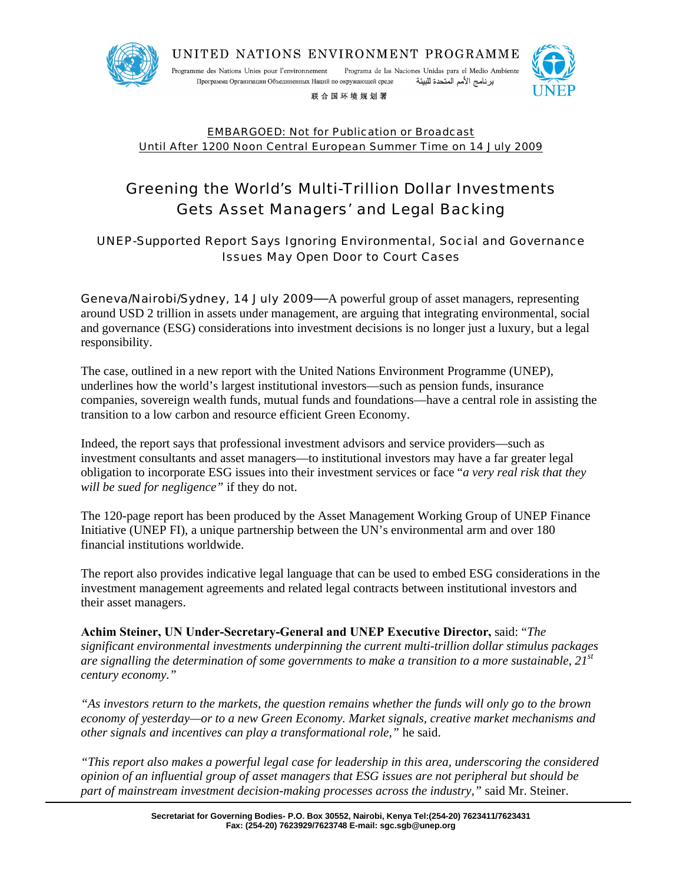

Programa de las Naciones Unidas para el Medio Ambiente Programme des Nations Unies pour l'environnement برنامج الأمم المتحدة للبيئة Программа Организации Объединенных Наций по окружающей среде

联合国环境规划署



EMBARGOED: Not for Publication or Broadcast Until After 1200 Noon Central European Summer Time on 14 July 2009

# Greening the World's Multi-Trillion Dollar Investments Gets Asset Managers' and Legal Backing

UNEP-Supported Report Says Ignoring Environmental, Social and Governance Issues May Open Door to Court Cases

Geneva/Nairobi/Sydney, 14 July 2009**—**A powerful group of asset managers, representing around USD 2 trillion in assets under management, are arguing that integrating environmental, social and governance (ESG) considerations into investment decisions is no longer just a luxury, but a legal responsibility.

The case, outlined in a new report with the United Nations Environment Programme (UNEP), underlines how the world's largest institutional investors—such as pension funds, insurance companies, sovereign wealth funds, mutual funds and foundations—have a central role in assisting the transition to a low carbon and resource efficient Green Economy.

Indeed, the report says that professional investment advisors and service providers—such as investment consultants and asset managers—to institutional investors may have a far greater legal obligation to incorporate ESG issues into their investment services or face "*a very real risk that they will be sued for negligence"* if they do not.

The 120-page report has been produced by the Asset Management Working Group of UNEP Finance Initiative (UNEP FI), a unique partnership between the UN's environmental arm and over 180 financial institutions worldwide.

The report also provides indicative legal language that can be used to embed ESG considerations in the investment management agreements and related legal contracts between institutional investors and their asset managers.

**Achim Steiner, UN Under-Secretary-General and UNEP Executive Director,** said: "*The significant environmental investments underpinning the current multi-trillion dollar stimulus packages are signalling the determination of some governments to make a transition to a more sustainable, 21st century economy."*

*"As investors return to the markets, the question remains whether the funds will only go to the brown economy of yesterday—or to a new Green Economy. Market signals, creative market mechanisms and other signals and incentives can play a transformational role,"* he said.

*"This report also makes a powerful legal case for leadership in this area, underscoring the considered opinion of an influential group of asset managers that ESG issues are not peripheral but should be part of mainstream investment decision-making processes across the industry,"* said Mr. Steiner.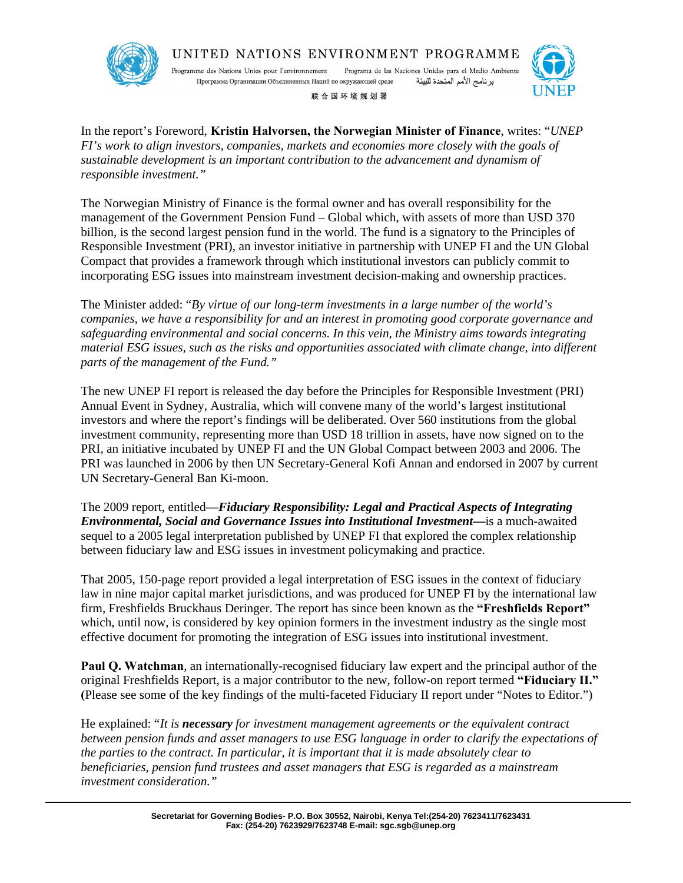

Programa de las Naciones Unidas para el Medio Ambiente Programme des Nations Unies pour l'environnement برنامج الأمم المتحدة للبيئة Программа Организации Объединенных Наций по окружающей среде

联合国环境规划署



In the report's Foreword, **Kristin Halvorsen, the Norwegian Minister of Finance**, writes: "*UNEP FI's work to align investors, companies, markets and economies more closely with the goals of sustainable development is an important contribution to the advancement and dynamism of responsible investment."*

The Norwegian Ministry of Finance is the formal owner and has overall responsibility for the management of the Government Pension Fund – Global which, with assets of more than USD 370 billion, is the second largest pension fund in the world. The fund is a signatory to the Principles of Responsible Investment (PRI), an investor initiative in partnership with UNEP FI and the UN Global Compact that provides a framework through which institutional investors can publicly commit to incorporating ESG issues into mainstream investment decision-making and ownership practices.

The Minister added: "*By virtue of our long-term investments in a large number of the world's companies, we have a responsibility for and an interest in promoting good corporate governance and safeguarding environmental and social concerns. In this vein, the Ministry aims towards integrating material ESG issues, such as the risks and opportunities associated with climate change, into different parts of the management of the Fund."*

The new UNEP FI report is released the day before the Principles for Responsible Investment (PRI) Annual Event in Sydney, Australia, which will convene many of the world's largest institutional investors and where the report's findings will be deliberated. Over 560 institutions from the global investment community, representing more than USD 18 trillion in assets, have now signed on to the PRI, an initiative incubated by UNEP FI and the UN Global Compact between 2003 and 2006. The PRI was launched in 2006 by then UN Secretary-General Kofi Annan and endorsed in 2007 by current UN Secretary-General Ban Ki-moon.

The 2009 report, entitled—*Fiduciary Responsibility: Legal and Practical Aspects of Integrating Environmental, Social and Governance Issues into Institutional Investment—*is a much-awaited sequel to a 2005 legal interpretation published by UNEP FI that explored the complex relationship between fiduciary law and ESG issues in investment policymaking and practice.

That 2005, 150-page report provided a legal interpretation of ESG issues in the context of fiduciary law in nine major capital market jurisdictions, and was produced for UNEP FI by the international law firm, Freshfields Bruckhaus Deringer. The report has since been known as the **"Freshfields Report"** which, until now, is considered by key opinion formers in the investment industry as the single most effective document for promoting the integration of ESG issues into institutional investment.

**Paul Q. Watchman**, an internationally-recognised fiduciary law expert and the principal author of the original Freshfields Report, is a major contributor to the new, follow-on report termed **"Fiduciary II." (**Please see some of the key findings of the multi-faceted Fiduciary II report under "Notes to Editor.")

He explained: "*It is necessary for investment management agreements or the equivalent contract between pension funds and asset managers to use ESG language in order to clarify the expectations of the parties to the contract. In particular, it is important that it is made absolutely clear to beneficiaries, pension fund trustees and asset managers that ESG is regarded as a mainstream investment consideration."*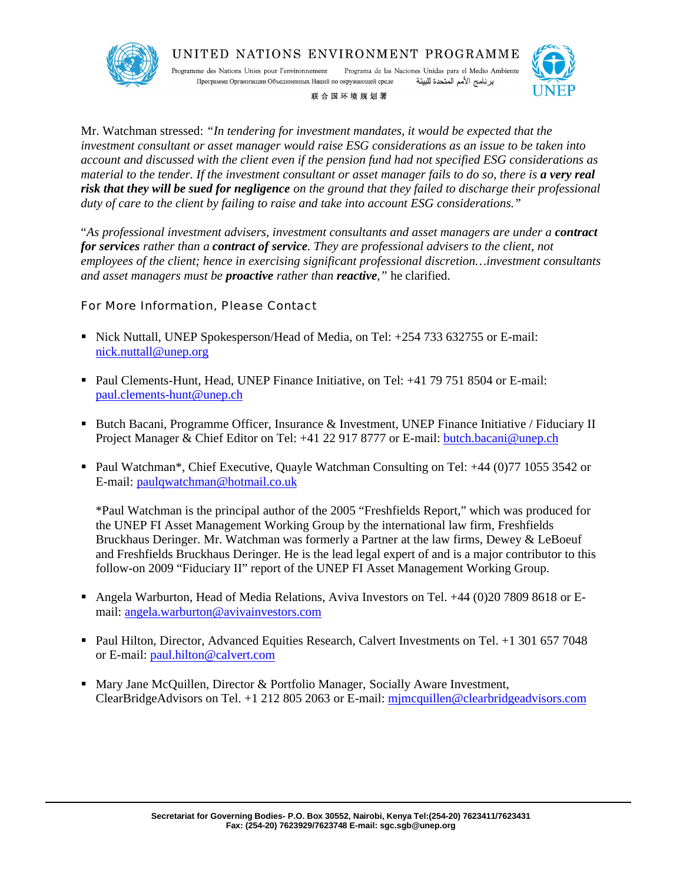



Programa de las Naciones Unidas para el Medio Ambiente Programme des Nations Unies pour l'environnement برنامج الأمم المتحدة للبيئة Программа Организации Объединенных Наций по окружающей среде





Mr. Watchman stressed: *"In tendering for investment mandates, it would be expected that the investment consultant or asset manager would raise ESG considerations as an issue to be taken into account and discussed with the client even if the pension fund had not specified ESG considerations as material to the tender. If the investment consultant or asset manager fails to do so, there is a very real risk that they will be sued for negligence on the ground that they failed to discharge their professional duty of care to the client by failing to raise and take into account ESG considerations."* 

"As professional investment advisers, investment consultants and asset managers are under a **contract** *for services rather than a contract of service. They are professional advisers to the client, not employees of the client; hence in exercising significant professional discretion…investment consultants and asset managers must be proactive rather than reactive,"* he clarified.

For More Information, Please Contact

- Nick Nuttall, UNEP Spokesperson/Head of Media, on Tel: +254 733 632755 or E-mail: nick.nuttall@unep.org
- Paul Clements-Hunt, Head, UNEP Finance Initiative, on Tel: +41 79 751 8504 or E-mail: paul.clements-hunt@unep.ch
- Butch Bacani, Programme Officer, Insurance & Investment, UNEP Finance Initiative / Fiduciary II Project Manager & Chief Editor on Tel: +41 22 917 8777 or E-mail: butch.bacani@unep.ch
- Paul Watchman\*, Chief Executive, Quayle Watchman Consulting on Tel: +44 (0)77 1055 3542 or E-mail: paulqwatchman@hotmail.co.uk

\*Paul Watchman is the principal author of the 2005 "Freshfields Report," which was produced for the UNEP FI Asset Management Working Group by the international law firm, Freshfields Bruckhaus Deringer. Mr. Watchman was formerly a Partner at the law firms, Dewey & LeBoeuf and Freshfields Bruckhaus Deringer. He is the lead legal expert of and is a major contributor to this follow-on 2009 "Fiduciary II" report of the UNEP FI Asset Management Working Group.

- Angela Warburton, Head of Media Relations, Aviva Investors on Tel. +44 (0)20 7809 8618 or Email: angela.warburton@avivainvestors.com
- Paul Hilton, Director, Advanced Equities Research, Calvert Investments on Tel. +1 301 657 7048 or E-mail: paul.hilton@calvert.com
- **Mary Jane McQuillen, Director & Portfolio Manager, Socially Aware Investment,** ClearBridgeAdvisors on Tel. +1 212 805 2063 or E-mail: mjmcquillen@clearbridgeadvisors.com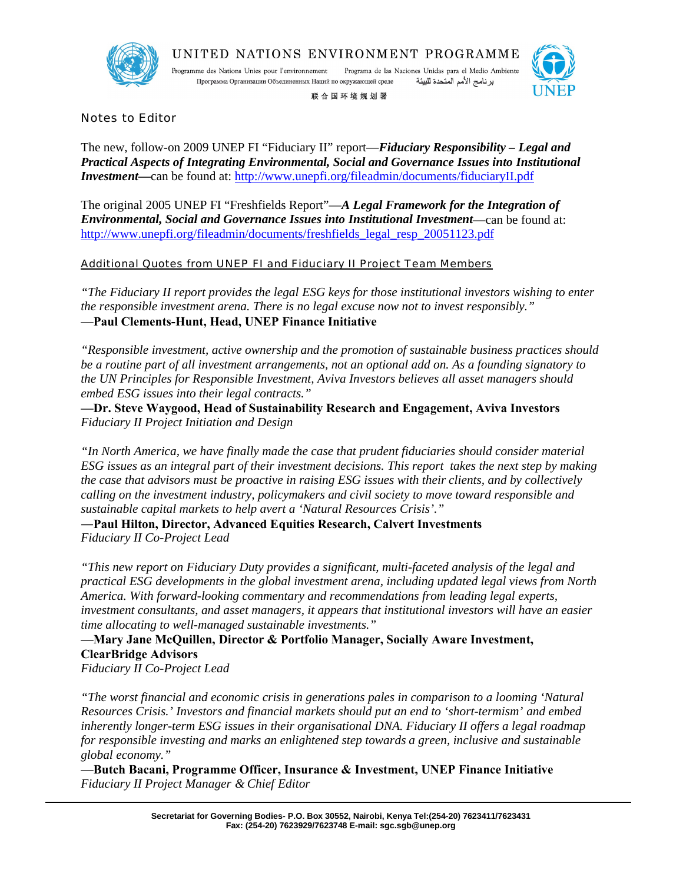

Programa de las Naciones Unidas para el Medio Ambiente Programme des Nations Unies pour l'environnement برنامج الأمم المتحدة للبيئة Программа Организации Объединенных Наций по окружающей среде

联合国环境规划署



Notes to Editor

The new, follow-on 2009 UNEP FI "Fiduciary II" report—*Fiduciary Responsibility – Legal and Practical Aspects of Integrating Environmental, Social and Governance Issues into Institutional Investment*—can be found at: http://www.unepfi.org/fileadmin/documents/fiduciaryII.pdf

The original 2005 UNEP FI "Freshfields Report"—*A Legal Framework for the Integration of Environmental, Social and Governance Issues into Institutional Investment*—can be found at: http://www.unepfi.org/fileadmin/documents/freshfields\_legal\_resp\_20051123.pdf

Additional Quotes from UNEP FI and Fiduciary II Project Team Members

*"The Fiduciary II report provides the legal ESG keys for those institutional investors wishing to enter the responsible investment arena. There is no legal excuse now not to invest responsibly."* **—Paul Clements-Hunt, Head, UNEP Finance Initiative**

*"Responsible investment, active ownership and the promotion of sustainable business practices should be a routine part of all investment arrangements, not an optional add on. As a founding signatory to the UN Principles for Responsible Investment, Aviva Investors believes all asset managers should embed ESG issues into their legal contracts."*

**—Dr. Steve Waygood, Head of Sustainability Research and Engagement, Aviva Investors** *Fiduciary II Project Initiation and Design*

*"In North America, we have finally made the case that prudent fiduciaries should consider material ESG issues as an integral part of their investment decisions. This report takes the next step by making the case that advisors must be proactive in raising ESG issues with their clients, and by collectively calling on the investment industry, policymakers and civil society to move toward responsible and sustainable capital markets to help avert a 'Natural Resources Crisis'."*

**―Paul Hilton, Director, Advanced Equities Research, Calvert Investments** *Fiduciary II Co-Project Lead*

*"This new report on Fiduciary Duty provides a significant, multi-faceted analysis of the legal and practical ESG developments in the global investment arena, including updated legal views from North America. With forward-looking commentary and recommendations from leading legal experts, investment consultants, and asset managers, it appears that institutional investors will have an easier time allocating to well-managed sustainable investments."*

# **—Mary Jane McQuillen, Director & Portfolio Manager, Socially Aware Investment, ClearBridge Advisors**

*Fiduciary II Co-Project Lead*

*"The worst financial and economic crisis in generations pales in comparison to a looming 'Natural Resources Crisis.' Investors and financial markets should put an end to 'short-termism' and embed inherently longer-term ESG issues in their organisational DNA. Fiduciary II offers a legal roadmap for responsible investing and marks an enlightened step towards a green, inclusive and sustainable global economy."*

**—Butch Bacani, Programme Officer, Insurance & Investment, UNEP Finance Initiative** *Fiduciary II Project Manager & Chief Editor*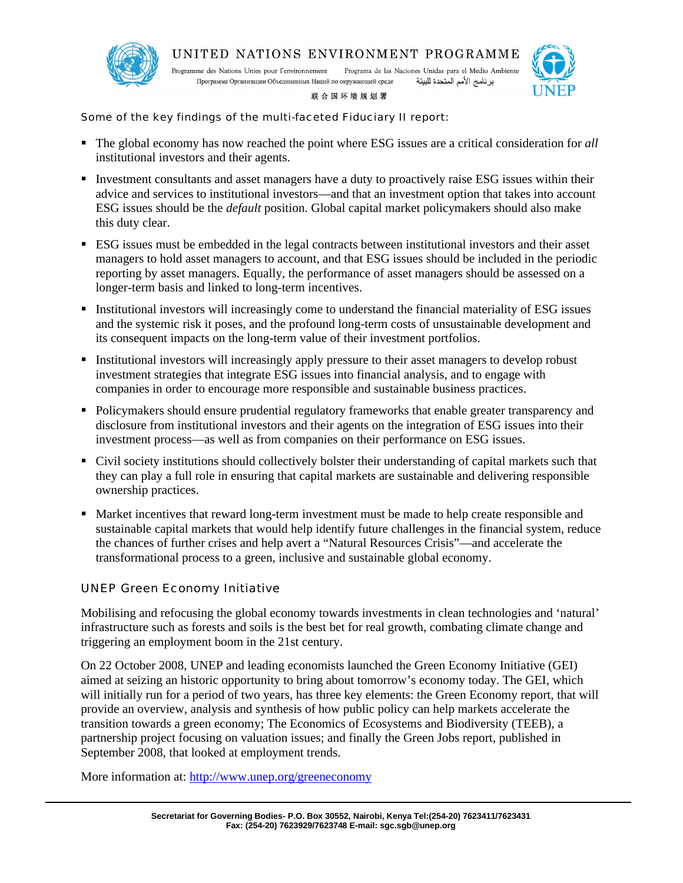

Programa de las Naciones Unidas para el Medio Ambiente Programme des Nations Unies pour l'environnement Программа Организации Объединенных Наций по окружающей среде برنامج الأمم المتحدة للبيئة



#### 联合国环境规划署

Some of the key findings of the multi-faceted Fiduciary II report:

- The global economy has now reached the point where ESG issues are a critical consideration for *all*  institutional investors and their agents.
- Investment consultants and asset managers have a duty to proactively raise ESG issues within their advice and services to institutional investors—and that an investment option that takes into account ESG issues should be the *default* position. Global capital market policymakers should also make this duty clear.
- ESG issues must be embedded in the legal contracts between institutional investors and their asset managers to hold asset managers to account, and that ESG issues should be included in the periodic reporting by asset managers. Equally, the performance of asset managers should be assessed on a longer-term basis and linked to long-term incentives.
- **Institutional investors will increasingly come to understand the financial materiality of ESG issues** and the systemic risk it poses, and the profound long-term costs of unsustainable development and its consequent impacts on the long-term value of their investment portfolios.
- **Institutional investors will increasingly apply pressure to their asset managers to develop robust** investment strategies that integrate ESG issues into financial analysis, and to engage with companies in order to encourage more responsible and sustainable business practices.
- Policymakers should ensure prudential regulatory frameworks that enable greater transparency and disclosure from institutional investors and their agents on the integration of ESG issues into their investment process—as well as from companies on their performance on ESG issues.
- Civil society institutions should collectively bolster their understanding of capital markets such that they can play a full role in ensuring that capital markets are sustainable and delivering responsible ownership practices.
- Market incentives that reward long-term investment must be made to help create responsible and sustainable capital markets that would help identify future challenges in the financial system, reduce the chances of further crises and help avert a "Natural Resources Crisis"—and accelerate the transformational process to a green, inclusive and sustainable global economy.

### UNEP Green Economy Initiative

Mobilising and refocusing the global economy towards investments in clean technologies and 'natural' infrastructure such as forests and soils is the best bet for real growth, combating climate change and triggering an employment boom in the 21st century.

On 22 October 2008, UNEP and leading economists launched the Green Economy Initiative (GEI) aimed at seizing an historic opportunity to bring about tomorrow's economy today. The GEI, which will initially run for a period of two years, has three key elements: the Green Economy report, that will provide an overview, analysis and synthesis of how public policy can help markets accelerate the transition towards a green economy; The Economics of Ecosystems and Biodiversity (TEEB), a partnership project focusing on valuation issues; and finally the Green Jobs report, published in September 2008, that looked at employment trends.

More information at: http://www.unep.org/greeneconomy